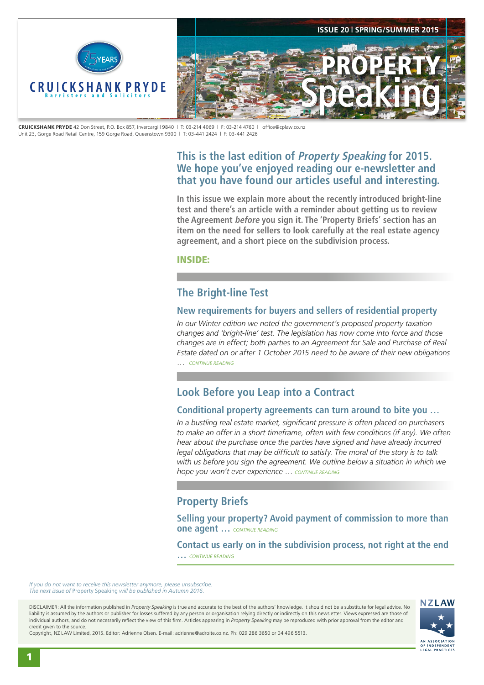<span id="page-0-0"></span>

**CRUICKSHANK PRYDE** 42 Don Street, P.O. Box 857, Invercargill 9840 | T: 03-214 4069 | F: 03-214 4760 | office@cplaw.co.nz Unit 23, Gorge Road Retail Centre, 159 Gorge Road, Queenstown 9300 | T: 03-441 2424 | F: 03-441 2426

## **This is the last edition of Property Speaking for 2015. We hope you've enjoyed reading our e-newsletter and that you have found our articles useful and interesting.**

**In this issue we explain more about the recently introduced bright-line test and there's an article with a reminder about getting us to review the Agreement before you sign it. The 'Property Briefs' section has an item on the need for sellers to look carefully at the real estate agency agreement, and a short piece on the subdivision process.**

INSIDE:

## **The Bright-line Test**

### **New requirements for buyers and sellers of residential property**

*In our Winter edition we noted the government's proposed property taxation changes and 'bright-line' test. The legislation has now come into force and those changes are in effect; both parties to an Agreement for Sale and Purchase of Real Estate dated on or after 1 October 2015 need to be aware of their new obligations* … *[CONTINUE READING](#page-1-0)*

# **Look Before you Leap into a Contract**

### **Conditional property agreements can turn around to bite you …**

*In a bustling real estate market, significant pressure is often placed on purchasers to make an offer in a short timeframe, often with few conditions (if any). We often hear about the purchase once the parties have signed and have already incurred legal obligations that may be difficult to satisfy. The moral of the story is to talk with us before you sign the agreement. We outline below a situation in which we hope you won't ever experience* … *[CONTINUE READING](#page-2-0)*

## **Property Briefs**

**Selling your property? Avoid payment of commission to more than one agent …** *[CONTINUE READING](#page-3-0)*

**Contact us early on in the subdivision process, not right at the end …** *[CONTINUE READING](#page-3-0)*

*If you do not want to receive this newsletter anymore, please [unsubscribe.](mailto:adrienne@adroite.co.nz) The next issue of* Property Speaking *will be published in Autumn 2016.* 

DISCLAIMER: All the information published in *Property Speaking* is true and accurate to the best of the authors' knowledge. It should not be a substitute for legal advice. No liability is assumed by the authors or publisher for losses suffered by any person or organisation relying directly or indirectly on this newsletter. Views expressed are those of individual authors, and do not necessarily reflect the view of this firm. Articles appearing in *Property Speaking* may be reproduced with prior approval from the editor and credit given to the source.



Copyright, NZ LAW Limited, 2015. Editor: Adrienne Olsen. [E-mail: adrienne@adroite.co.nz](mailto:adrienne@adroite.co.nz). Ph: 029 286 3650 or 04 496 5513.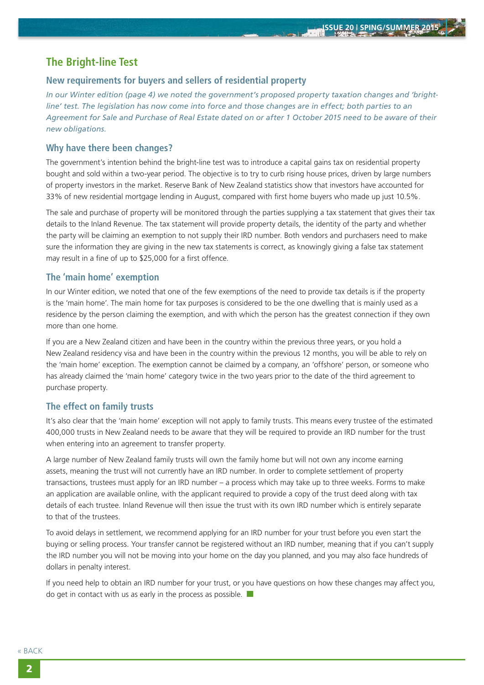### <span id="page-1-0"></span>**The Bright-line Test**

### **New requirements for buyers and sellers of residential property**

*In our Winter edition (page 4) we noted the government's proposed property taxation changes and 'brightline' test. The legislation has now come into force and those changes are in effect; both parties to an Agreement for Sale and Purchase of Real Estate dated on or after 1 October 2015 need to be aware of their new obligations.*

#### **Why have there been changes?**

The government's intention behind the bright-line test was to introduce a capital gains tax on residential property bought and sold within a two-year period. The objective is to try to curb rising house prices, driven by large numbers of property investors in the market. Reserve Bank of New Zealand statistics show that investors have accounted for 33% of new residential mortgage lending in August, compared with first home buyers who made up just 10.5%.

The sale and purchase of property will be monitored through the parties supplying a tax statement that gives their tax details to the Inland Revenue. The tax statement will provide property details, the identity of the party and whether the party will be claiming an exemption to not supply their IRD number. Both vendors and purchasers need to make sure the information they are giving in the new tax statements is correct, as knowingly giving a false tax statement may result in a fine of up to \$25,000 for a first offence.

### **The 'main home' exemption**

In our Winter edition, we noted that one of the few exemptions of the need to provide tax details is if the property is the 'main home'. The main home for tax purposes is considered to be the one dwelling that is mainly used as a residence by the person claiming the exemption, and with which the person has the greatest connection if they own more than one home.

If you are a New Zealand citizen and have been in the country within the previous three years, or you hold a New Zealand residency visa and have been in the country within the previous 12 months, you will be able to rely on the 'main home' exception. The exemption cannot be claimed by a company, an 'offshore' person, or someone who has already claimed the 'main home' category twice in the two years prior to the date of the third agreement to purchase property.

### **The effect on family trusts**

It's also clear that the 'main home' exception will not apply to family trusts. This means every trustee of the estimated 400,000 trusts in New Zealand needs to be aware that they will be required to provide an IRD number for the trust when entering into an agreement to transfer property.

A large number of New Zealand family trusts will own the family home but will not own any income earning assets, meaning the trust will not currently have an IRD number. In order to complete settlement of property transactions, trustees must apply for an IRD number – a process which may take up to three weeks. Forms to make an application are available online, with the applicant required to provide a copy of the trust deed along with tax details of each trustee. Inland Revenue will then issue the trust with its own IRD number which is entirely separate to that of the trustees.

To avoid delays in settlement, we recommend applying for an IRD number for your trust before you even start the buying or selling process. Your transfer cannot be registered without an IRD number, meaning that if you can't supply the IRD number you will not be moving into your home on the day you planned, and you may also face hundreds of dollars in penalty interest.

If you need help to obtain an IRD number for your trust, or you have questions on how these changes may affect you, do get in contact with us as early in the process as possible.  $\blacksquare$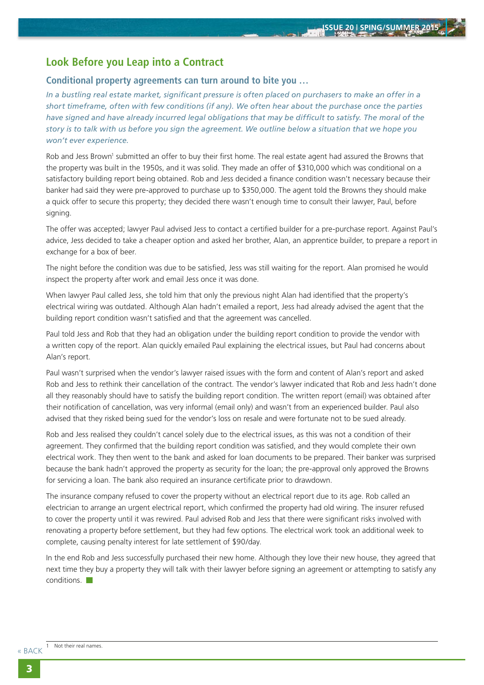## <span id="page-2-0"></span>**Look Before you Leap into a Contract**

#### **Conditional property agreements can turn around to bite you …**

*In a bustling real estate market, significant pressure is often placed on purchasers to make an offer in a short timeframe, often with few conditions (if any). We often hear about the purchase once the parties have signed and have already incurred legal obligations that may be difficult to satisfy. The moral of the story is to talk with us before you sign the agreement. We outline below a situation that we hope you won't ever experience.*

Rob and Jess Brown<sup>1</sup> submitted an offer to buy their first home. The real estate agent had assured the Browns that the property was built in the 1950s, and it was solid. They made an offer of \$310,000 which was conditional on a satisfactory building report being obtained. Rob and Jess decided a finance condition wasn't necessary because their banker had said they were pre-approved to purchase up to \$350,000. The agent told the Browns they should make a quick offer to secure this property; they decided there wasn't enough time to consult their lawyer, Paul, before signing.

The offer was accepted; lawyer Paul advised Jess to contact a certified builder for a pre-purchase report. Against Paul's advice, Jess decided to take a cheaper option and asked her brother, Alan, an apprentice builder, to prepare a report in exchange for a box of beer.

The night before the condition was due to be satisfied, Jess was still waiting for the report. Alan promised he would inspect the property after work and email Jess once it was done.

When lawyer Paul called Jess, she told him that only the previous night Alan had identified that the property's electrical wiring was outdated. Although Alan hadn't emailed a report, Jess had already advised the agent that the building report condition wasn't satisfied and that the agreement was cancelled.

Paul told Jess and Rob that they had an obligation under the building report condition to provide the vendor with a written copy of the report. Alan quickly emailed Paul explaining the electrical issues, but Paul had concerns about Alan's report.

Paul wasn't surprised when the vendor's lawyer raised issues with the form and content of Alan's report and asked Rob and Jess to rethink their cancellation of the contract. The vendor's lawyer indicated that Rob and Jess hadn't done all they reasonably should have to satisfy the building report condition. The written report (email) was obtained after their notification of cancellation, was very informal (email only) and wasn't from an experienced builder. Paul also advised that they risked being sued for the vendor's loss on resale and were fortunate not to be sued already.

Rob and Jess realised they couldn't cancel solely due to the electrical issues, as this was not a condition of their agreement. They confirmed that the building report condition was satisfied, and they would complete their own electrical work. They then went to the bank and asked for loan documents to be prepared. Their banker was surprised because the bank hadn't approved the property as security for the loan; the pre-approval only approved the Browns for servicing a loan. The bank also required an insurance certificate prior to drawdown.

The insurance company refused to cover the property without an electrical report due to its age. Rob called an electrician to arrange an urgent electrical report, which confirmed the property had old wiring. The insurer refused to cover the property until it was rewired. Paul advised Rob and Jess that there were significant risks involved with renovating a property before settlement, but they had few options. The electrical work took an additional week to complete, causing penalty interest for late settlement of \$90/day.

In the end Rob and Jess successfully purchased their new home. Although they love their new house, they agreed that next time they buy a property they will talk with their lawyer before signing an agreement or attempting to satisfy any conditions.